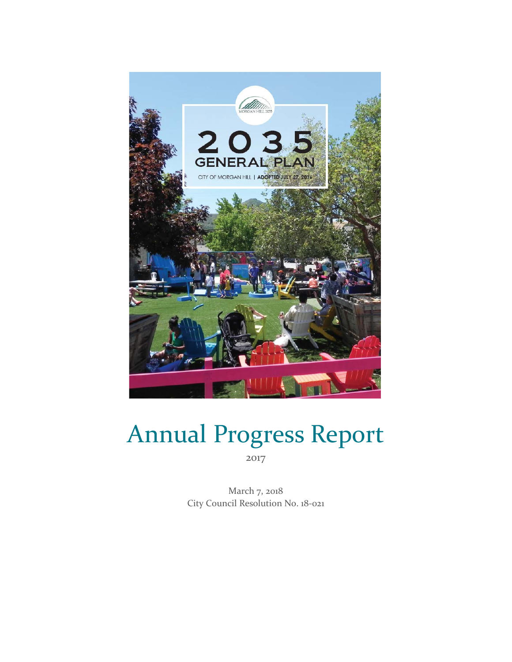

# Annual Progress Report 2017

March 7, 2018 City Council Resolution No. 18-021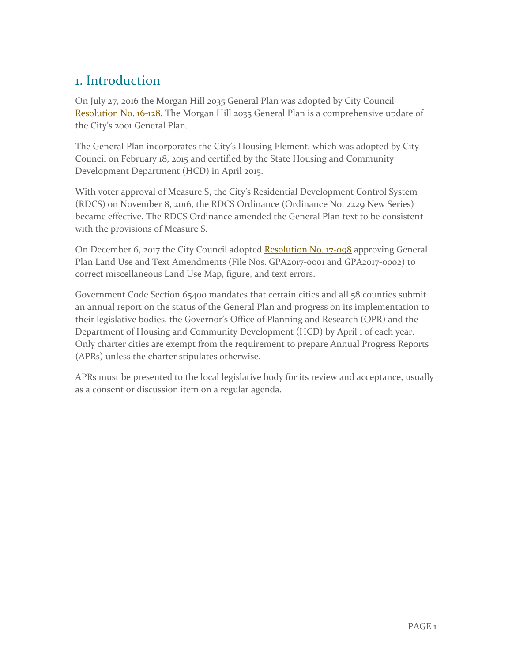## 1. Introduction

On July 27, 2016 the Morgan Hill 2035 General Plan was adopted by City Council [Resolution No. 16-128.](http://ca-morganhill2.civicplus.com/DocumentCenter/View/19482) The Morgan Hill 2035 General Plan is a comprehensive update of the City's 2001 General Plan.

The General Plan incorporates the City's Housing Element, which was adopted by City Council on February 18, 2015 and certified by the State Housing and Community Development Department (HCD) in April 2015.

With voter approval of Measure S, the City's Residential Development Control System (RDCS) on November 8, 2016, the RDCS Ordinance (Ordinance No. 2229 New Series) became effective. The RDCS Ordinance amended the General Plan text to be consistent with the provisions of Measure S.

On December 6, 2017 the City Council adopted [Resolution No. 17-098](https://www.morgan-hill.ca.gov/DocumentCenter/View/22471) approving General Plan Land Use and Text Amendments (File Nos. GPA2017-0001 and GPA2017-0002) to correct miscellaneous Land Use Map, figure, and text errors.

Government Code Section 65400 mandates that certain cities and all 58 counties submit an annual report on the status of the General Plan and progress on its implementation to their legislative bodies, the Governor's Office of Planning and Research (OPR) and the Department of Housing and Community Development (HCD) by April 1 of each year. Only charter cities are exempt from the requirement to prepare Annual Progress Reports (APRs) unless the charter stipulates otherwise.

APRs must be presented to the local legislative body for its review and acceptance, usually as a consent or discussion item on a regular agenda.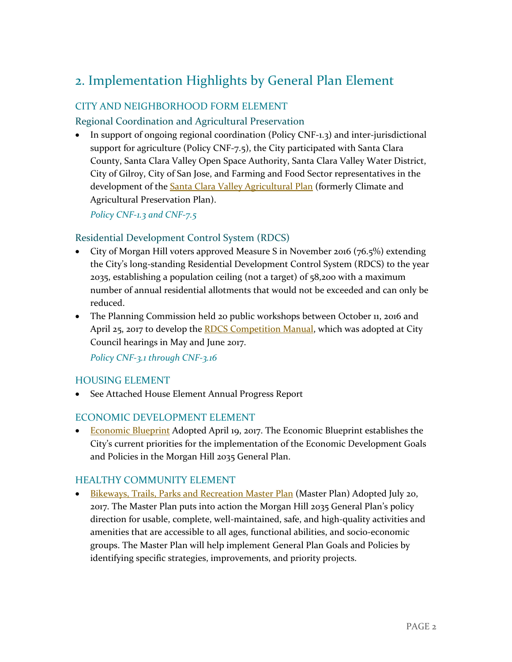## 2. Implementation Highlights by General Plan Element

### CITY AND NEIGHBORHOOD FORM ELEMENT

### Regional Coordination and Agricultural Preservation

• In support of ongoing regional coordination (Policy CNF-1.3) and inter-jurisdictional support for agriculture (Policy CNF-7.5), the City participated with Santa Clara County, Santa Clara Valley Open Space Authority, Santa Clara Valley Water District, City of Gilroy, City of San Jose, and Farming and Food Sector representatives in the development of the **Santa Clara Valley Agricultural Plan** (formerly Climate and Agricultural Preservation Plan).

*Policy CNF-1.3 and CNF-7.5*

### Residential Development Control System (RDCS)

- City of Morgan Hill voters approved Measure S in November 2016 (76.5%) extending the City's long-standing Residential Development Control System (RDCS) to the year 2035, establishing a population ceiling (not a target) of 58,200 with a maximum number of annual residential allotments that would not be exceeded and can only be reduced.
- The Planning Commission held 20 public workshops between October 11, 2016 and April 25, 2017 to develop the **RDCS Competition Manual**, which was adopted at City Council hearings in May and June 2017.

*Policy CNF-3.1 through CNF-3.16*

### HOUSING ELEMENT

• See Attached House Element Annual Progress Report

### ECONOMIC DEVELOPMENT ELEMENT

• [Economic Blueprint](https://cld.bz/5cgfQGe) Adopted April 19, 2017. The Economic Blueprint establishes the City's current priorities for the implementation of the Economic Development Goals and Policies in the Morgan Hill 2035 General Plan.

### HEALTHY COMMUNITY ELEMENT

• [Bikeways, Trails, Parks and Recreation Master Plan](http://www.morgan-hill.ca.gov/1429/Master-Plan-for-Parks-Trails-and-Bikeway) (Master Plan) Adopted July 20, 2017. The Master Plan puts into action the Morgan Hill 2035 General Plan's policy direction for usable, complete, well-maintained, safe, and high-quality activities and amenities that are accessible to all ages, functional abilities, and socio-economic groups. The Master Plan will help implement General Plan Goals and Policies by identifying specific strategies, improvements, and priority projects.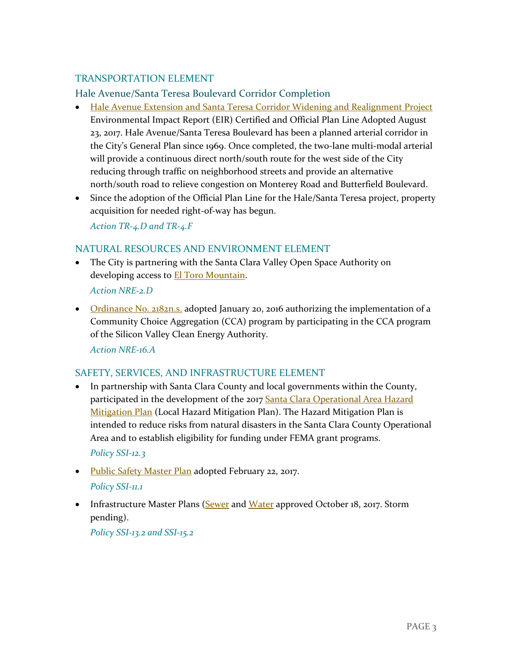### TRANSPORTATION ELEMENT

### Hale Avenue/Santa Teresa Boulevard Corridor Completion

- [Hale Avenue Extension and Santa Teresa Corridor Widening and Realignment Project](http://www.morgan-hill.ca.gov/1527/Hale-Santa-Teresa-Project-EIR) Environmental Impact Report (EIR) Certified and Official Plan Line Adopted August 23, 2017. Hale Avenue/Santa Teresa Boulevard has been a planned arterial corridor in the City's General Plan since 1969. Once completed, the two-lane multi-modal arterial will provide a continuous direct north/south route for the west side of the City reducing through traffic on neighborhood streets and provide an alternative north/south road to relieve congestion on Monterey Road and Butterfield Boulevard.
- Since the adoption of the Official Plan Line for the Hale/Santa Teresa project, property acquisition for needed right-of-way has begun.

*Action TR-4.D and TR-4.F*

### NATURAL RESOURCES AND ENVIRONMENT ELEMENT

• The City is partnering with the Santa Clara Valley Open Space Authority on developing access to **El Toro Mountain**.

*Action NRE-2.D*

• [Ordinance No. 2182n.s.](http://www.morgan-hill.ca.gov/documentcenter/view/17980) adopted January 20, 2016 authorizing the implementation of a Community Choice Aggregation (CCA) program by participating in the CCA program of the Silicon Valley Clean Energy Authority.

*Action NRE-16.A*

### SAFETY, SERVICES, AND INFRASTRUCTURE ELEMENT

In partnership with Santa Clara County and local governments within the County, participated in the development of the 2017 Santa Clara Operational Area Hazard **[Mitigation Plan](http://www.morgan-hill.ca.gov/documentcenter/view/22135)** (Local Hazard Mitigation Plan). The Hazard Mitigation Plan is intended to reduce risks from natural disasters in the Santa Clara County Operational Area and to establish eligibility for funding under FEMA grant programs.

*Policy SSI-12.3*

- [Public Safety Master Plan](https://user-ddhj25y.cld.bz/City-of-Morgan-Hill-Public-Safety-Master-Plan) adopted February 22, 2017. *Policy SSI-11.1*
- Infrastructure Master Plans [\(Sewer](http://www.morgan-hill.ca.gov/DocumentCenter/Home/View/21982) and [Water](http://www.morgan-hill.ca.gov/DocumentCenter/Home/View/21981) approved October 18, 2017. Storm pending).

*Policy SSI-13.2 and SSI-15.2*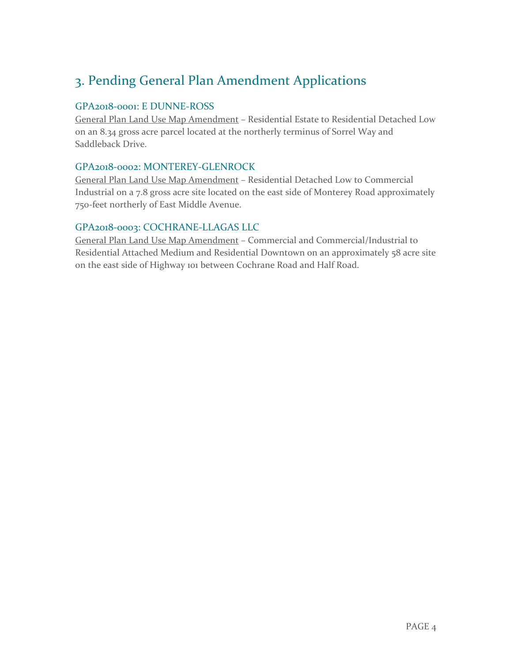## 3. Pending General Plan Amendment Applications

### GPA2018-0001: E DUNNE-ROSS

General Plan Land Use Map Amendment - Residential Estate to Residential Detached Low on an 8.34 gross acre parcel located at the northerly terminus of Sorrel Way and Saddleback Drive.

### GPA2018-0002: MONTEREY-GLENROCK

General Plan Land Use Map Amendment – Residential Detached Low to Commercial Industrial on a 7.8 gross acre site located on the east side of Monterey Road approximately 750-feet northerly of East Middle Avenue.

### GPA2018-0003: COCHRANE-LLAGAS LLC

General Plan Land Use Map Amendment – Commercial and Commercial/Industrial to Residential Attached Medium and Residential Downtown on an approximately 58 acre site on the east side of Highway 101 between Cochrane Road and Half Road.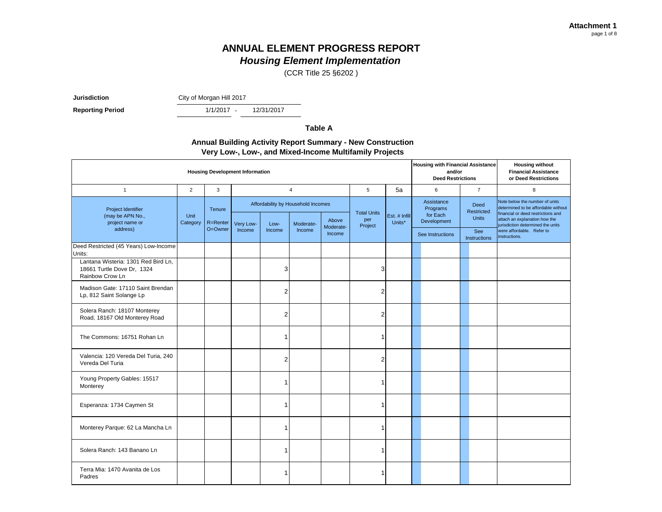## **ANNUAL ELEMENT PROGRESS REPORT**

*Housing Element Implementation*

(CCR Title 25 §6202 )

**Jurisdiction** City of Morgan Hill 2017

**Reporting Period** 

1/1/2017 -12/31/2017

**Table A**

#### **Annual Building Activity Report Summary - New Construction Very Low-, Low-, and Mixed-Income Multifamily Projects**

| <b>Housing Development Information</b>                                               |                            |         |          |                |                |                                                 |                         |                                      |                         |                  | <b>Housing with Financial Assistance</b><br>and/or<br><b>Deed Restrictions</b> | <b>Housing without</b><br><b>Financial Assistance</b><br>or Deed Restrictions |                                                                                                                                                                                   |
|--------------------------------------------------------------------------------------|----------------------------|---------|----------|----------------|----------------|-------------------------------------------------|-------------------------|--------------------------------------|-------------------------|------------------|--------------------------------------------------------------------------------|-------------------------------------------------------------------------------|-----------------------------------------------------------------------------------------------------------------------------------------------------------------------------------|
| $\mathbf{1}$                                                                         | $\overline{2}$             | 3       |          |                | $\overline{4}$ |                                                 | 5                       | 5a                                   |                         | 6                | $\overline{7}$                                                                 | 8                                                                             |                                                                                                                                                                                   |
| Project Identifier<br>(may be APN No.,<br>project name or                            | Tenure<br>Unit<br>R=Renter |         | Category | Very Low-      | Low-           | Affordability by Household Incomes<br>Moderate- | Above<br>Moderate-      | <b>Total Units</b><br>per<br>Project | Est. # Infill<br>Units* |                  | Assistance<br>Programs<br>for Each<br>Development                              | <b>Deed</b><br>Restricted<br><b>Units</b>                                     | Note below the number of units<br>determined to be affordable without<br>financial or deed restrictions and<br>attach an explanation how the<br>jurisdiction determined the units |
| address)                                                                             |                            | O=Owner | Income   | Income         | Income         | Income                                          |                         |                                      |                         | See Instructions | See<br>Instructions                                                            | were affordable. Refer to<br>instructions.                                    |                                                                                                                                                                                   |
| Deed Restricted (45 Years) Low-Income<br>Units:                                      |                            |         |          |                |                |                                                 |                         |                                      |                         |                  |                                                                                |                                                                               |                                                                                                                                                                                   |
| Lantana Wisteria: 1301 Red Bird Ln,<br>18661 Turtle Dove Dr, 1324<br>Rainbow Crow Ln |                            |         |          | 3              |                |                                                 | 3                       |                                      |                         |                  |                                                                                |                                                                               |                                                                                                                                                                                   |
| Madison Gate: 17110 Saint Brendan<br>Lp, 812 Saint Solange Lp                        |                            |         |          | $\overline{2}$ |                |                                                 | $\overline{c}$          |                                      |                         |                  |                                                                                |                                                                               |                                                                                                                                                                                   |
| Solera Ranch: 18107 Monterey<br>Road, 18167 Old Monterey Road                        |                            |         |          | $\overline{c}$ |                |                                                 | $\overline{c}$          |                                      |                         |                  |                                                                                |                                                                               |                                                                                                                                                                                   |
| The Commons: 16751 Rohan Ln                                                          |                            |         |          | -1             |                |                                                 | 1                       |                                      |                         |                  |                                                                                |                                                                               |                                                                                                                                                                                   |
| Valencia: 120 Vereda Del Turia, 240<br>Vereda Del Turia                              |                            |         |          | $\overline{2}$ |                |                                                 | $\overline{\mathbf{c}}$ |                                      |                         |                  |                                                                                |                                                                               |                                                                                                                                                                                   |
| Young Property Gables: 15517<br>Monterey                                             |                            |         |          | -1             |                |                                                 | 1                       |                                      |                         |                  |                                                                                |                                                                               |                                                                                                                                                                                   |
| Esperanza: 1734 Caymen St                                                            |                            |         |          | -1             |                |                                                 | 1                       |                                      |                         |                  |                                                                                |                                                                               |                                                                                                                                                                                   |
| Monterey Parque: 62 La Mancha Ln                                                     |                            |         |          | $\mathbf{1}$   |                |                                                 | 1                       |                                      |                         |                  |                                                                                |                                                                               |                                                                                                                                                                                   |
| Solera Ranch: 143 Banano Ln                                                          |                            |         |          | $\overline{1}$ |                |                                                 | $\mathbf{1}$            |                                      |                         |                  |                                                                                |                                                                               |                                                                                                                                                                                   |
| Terra Mia: 1470 Avanita de Los<br>Padres                                             |                            |         |          | -1             |                |                                                 | 1                       |                                      |                         |                  |                                                                                |                                                                               |                                                                                                                                                                                   |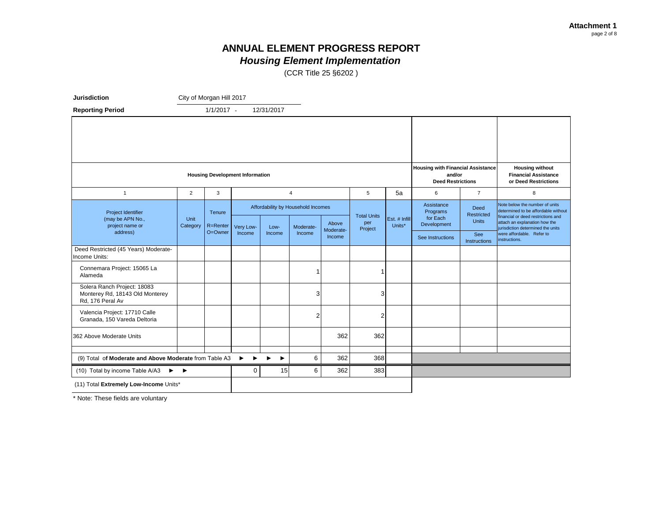(CCR Title 25 §6202 )

| <b>Jurisdiction</b>                                                                |                  | City of Morgan Hill 2017 |                                        |            |                                                 |                     |                                      |                         |                                                                                |                                           |                                                                                                                                                                                   |
|------------------------------------------------------------------------------------|------------------|--------------------------|----------------------------------------|------------|-------------------------------------------------|---------------------|--------------------------------------|-------------------------|--------------------------------------------------------------------------------|-------------------------------------------|-----------------------------------------------------------------------------------------------------------------------------------------------------------------------------------|
| <b>Reporting Period</b>                                                            |                  | $1/1/2017 -$             |                                        | 12/31/2017 |                                                 |                     |                                      |                         |                                                                                |                                           |                                                                                                                                                                                   |
|                                                                                    |                  |                          |                                        |            |                                                 |                     |                                      |                         |                                                                                |                                           |                                                                                                                                                                                   |
|                                                                                    |                  |                          | <b>Housing Development Information</b> |            |                                                 |                     |                                      |                         | <b>Housing with Financial Assistance</b><br>and/or<br><b>Deed Restrictions</b> |                                           | <b>Housing without</b><br><b>Financial Assistance</b><br>or Deed Restrictions                                                                                                     |
| $\overline{1}$                                                                     | $\overline{2}$   | 3                        |                                        |            | $\overline{4}$                                  |                     | 5                                    | 5a                      | 6                                                                              | $\overline{7}$                            | 8                                                                                                                                                                                 |
| Project Identifier<br>(may be APN No.,<br>project name or                          | Unit<br>Category | Tenure<br>R=Renter       | Very Low-                              | Low-       | Affordability by Household Incomes<br>Moderate- | Above               | <b>Total Units</b><br>per<br>Project | Est. # Infill<br>Units* | Assistance<br>Programs<br>for Each<br>Development                              | <b>Deed</b><br>Restricted<br><b>Units</b> | Note below the number of units<br>determined to be affordable without<br>financial or deed restrictions and<br>attach an explanation how the<br>iurisdiction determined the units |
| address)                                                                           |                  | O=Owner                  | Income                                 | Income     | Income                                          | Moderate-<br>Income |                                      |                         | See Instructions                                                               | See<br><b>Instructions</b>                | were affordable. Refer to<br>instructions.                                                                                                                                        |
| Deed Restricted (45 Years) Moderate-<br>Income Units:                              |                  |                          |                                        |            |                                                 |                     |                                      |                         |                                                                                |                                           |                                                                                                                                                                                   |
| Connemara Project: 15065 La<br>Alameda                                             |                  |                          |                                        |            | -1                                              |                     |                                      |                         |                                                                                |                                           |                                                                                                                                                                                   |
| Solera Ranch Project: 18083<br>Monterey Rd, 18143 Old Monterey<br>Rd. 176 Peral Av |                  |                          |                                        |            | 3                                               |                     | 3                                    |                         |                                                                                |                                           |                                                                                                                                                                                   |
| Valencia Project: 17710 Calle<br>Granada, 150 Vareda Deltoria                      |                  |                          |                                        |            | $\overline{2}$                                  |                     | 2                                    |                         |                                                                                |                                           |                                                                                                                                                                                   |
| 362 Above Moderate Units                                                           |                  |                          |                                        |            |                                                 | 362                 | 362                                  |                         |                                                                                |                                           |                                                                                                                                                                                   |
| (9) Total of Moderate and Above Moderate from Table A3                             |                  |                          | ▶                                      | ▶          | 6                                               | 362                 | 368                                  |                         |                                                                                |                                           |                                                                                                                                                                                   |
| (10) Total by income Table A/A3<br>$\blacktriangleright$                           | ▸                |                          | $\mathbf 0$                            | 15         | 6                                               | 362                 | 383                                  |                         |                                                                                |                                           |                                                                                                                                                                                   |
| (11) Total Extremely Low-Income Units*                                             |                  |                          |                                        |            |                                                 |                     |                                      |                         |                                                                                |                                           |                                                                                                                                                                                   |

\* Note: These fields are voluntary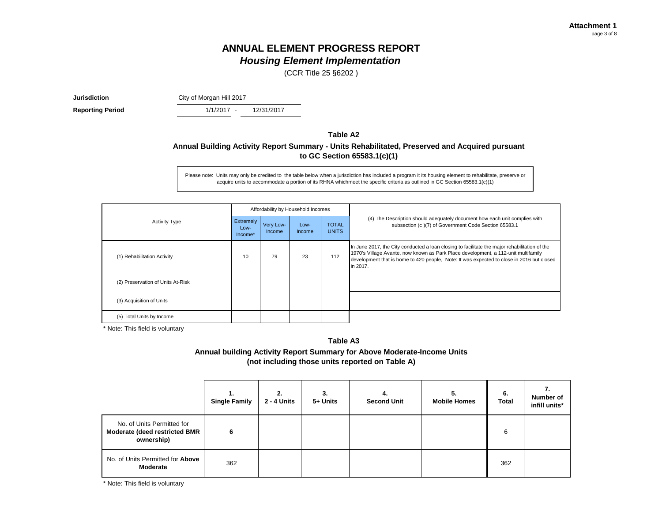(CCR Title 25 §6202 )

**Jurisdiction** City of Morgan Hill 2017

 $1/1/2017 -$ **Reporting Period** 1/1/2017 - 12/31/2017

#### **Annual Building Activity Report Summary - Units Rehabilitated, Preserved and Acquired pursuant to GC Section 65583.1(c)(1) Table A2**

Please note: Units may only be credited to the table below when a jurisdiction has included a program it its housing element to rehabilitate, preserve or acquire units to accommodate a portion of its RHNA whichmeet the specific criteria as outlined in GC Section 65583.1(c)(1)

|                                   |                              |                     | Affordability by Household Incomes |                              |                                                                                                                                                                                                                                                                                              |  |  |
|-----------------------------------|------------------------------|---------------------|------------------------------------|------------------------------|----------------------------------------------------------------------------------------------------------------------------------------------------------------------------------------------------------------------------------------------------------------------------------------------|--|--|
| <b>Activity Type</b>              | Extremely<br>Low-<br>Income* | Very Low-<br>Income | Low-<br>Income                     | <b>TOTAL</b><br><b>UNITS</b> | (4) The Description should adequately document how each unit complies with<br>subsection (c)(7) of Government Code Section 65583.1                                                                                                                                                           |  |  |
| (1) Rehabilitation Activity       | 10                           | 79                  | 23                                 | 112                          | In June 2017, the City conducted a loan closing to facilitate the major rehabilitation of the<br>1970's Village Avante, now known as Park Place development, a 112-unit multifamily<br>development that is home to 420 people, Note: It was expected to close in 2016 but closed<br>in 2017. |  |  |
| (2) Preservation of Units At-Risk |                              |                     |                                    |                              |                                                                                                                                                                                                                                                                                              |  |  |
| (3) Acquisition of Units          |                              |                     |                                    |                              |                                                                                                                                                                                                                                                                                              |  |  |
| (5) Total Units by Income         |                              |                     |                                    |                              |                                                                                                                                                                                                                                                                                              |  |  |

\* Note: This field is voluntary

#### **Table A3**

#### **Annual building Activity Report Summary for Above Moderate-Income Units (not including those units reported on Table A)**

|                                                                                  | <b>Single Family</b> | 2.<br>2 - 4 Units | 3.<br>5+ Units | 4.<br><b>Second Unit</b> | 5.<br><b>Mobile Homes</b> | 6.<br><b>Total</b> | Number of<br>infill units* |
|----------------------------------------------------------------------------------|----------------------|-------------------|----------------|--------------------------|---------------------------|--------------------|----------------------------|
| No. of Units Permitted for<br><b>Moderate (deed restricted BMR</b><br>ownership) | 6                    |                   |                |                          |                           | 6                  |                            |
| No. of Units Permitted for Above<br>Moderate                                     | 362                  |                   |                |                          |                           | 362                |                            |

\* Note: This field is voluntary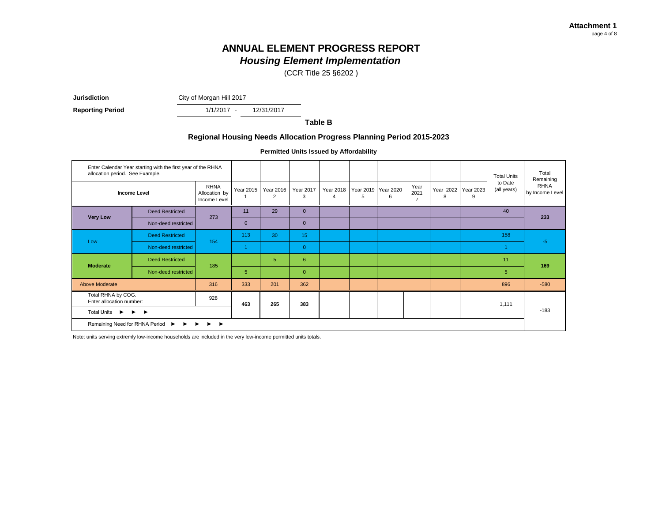(CCR Title 25 §6202 )

 $1/1/2017 -$ **Jurisdiction** City of Morgan Hill 2017

**Reporting Period** 1/1/2017 - 12/31/2017

**Table B**

#### **Regional Housing Needs Allocation Progress Planning Period 2015-2023**

**Permitted Units Issued by Affordability**

| allocation period. See Example.                                                       | Enter Calendar Year starting with the first year of the RHNA |                                              |              |                |                       |                       |   |                          |                                |                          |       | <b>Total Units</b>     | Total<br>Remaining             |
|---------------------------------------------------------------------------------------|--------------------------------------------------------------|----------------------------------------------|--------------|----------------|-----------------------|-----------------------|---|--------------------------|--------------------------------|--------------------------|-------|------------------------|--------------------------------|
|                                                                                       | <b>Income Level</b>                                          | <b>RHNA</b><br>Allocation by<br>Income Level | Year 2015    | Year 2016<br>2 | <b>Year 2017</b><br>3 | <b>Year 2018</b><br>4 | 5 | Year 2019 Year 2020<br>6 | Year<br>2021<br>$\overline{7}$ | Year 2022 Year 2023<br>8 | 9     | to Date<br>(all years) | <b>RHNA</b><br>by Income Level |
| <b>Very Low</b>                                                                       | <b>Deed Restricted</b>                                       | 273                                          | 11           | 29             | $\Omega$              |                       |   |                          |                                |                          |       | 40                     | 233                            |
|                                                                                       | Non-deed restricted                                          |                                              | $\mathbf{0}$ |                | $\mathbf{0}$          |                       |   |                          |                                |                          |       |                        |                                |
| Low                                                                                   | <b>Deed Restricted</b>                                       | 154                                          | 113          | 30             | 15                    |                       |   |                          |                                |                          |       | 158                    | $-5$                           |
|                                                                                       | Non-deed restricted                                          |                                              |              |                | $\overline{0}$        |                       |   |                          |                                |                          |       |                        |                                |
| <b>Moderate</b>                                                                       | <b>Deed Restricted</b>                                       | 185                                          |              | 5              | 6                     |                       |   |                          |                                |                          |       | 11                     | 169                            |
|                                                                                       | Non-deed restricted                                          |                                              | 5            |                | $\mathbf{0}$          |                       |   |                          |                                |                          |       | $\sqrt{5}$             |                                |
| <b>Above Moderate</b>                                                                 |                                                              | 316                                          | 333          | 201            | 362                   |                       |   |                          |                                |                          |       | 896                    | $-580$                         |
| Total RHNA by COG.<br>928<br>Enter allocation number:                                 |                                                              | 463                                          | 265          | 383            |                       |                       |   |                          |                                |                          | 1,111 |                        |                                |
| <b>Total Units</b><br>$\blacktriangleright$<br>$\blacktriangleright$<br>$\rightarrow$ |                                                              |                                              |              |                |                       |                       |   |                          |                                |                          |       | $-183$                 |                                |
|                                                                                       | Remaining Need for RHNA Period ▶ ▶ ▶ ▶ ▶                     |                                              |              |                |                       |                       |   |                          |                                |                          |       |                        |                                |

Note: units serving extremly low-income households are included in the very low-income permitted units totals.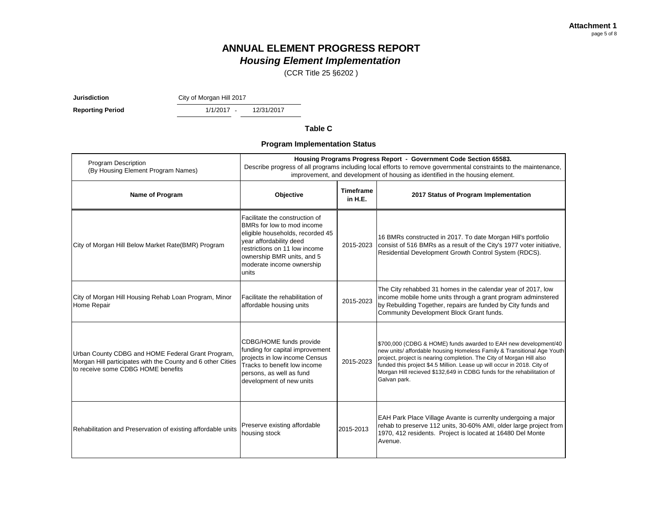(CCR Title 25 §6202 )

**Jurisdiction** City of Morgan Hill 2017

1/1/2017 -**Reporting Period** 1/1/2017 - 12/31/2017

**Table C**

**Program Implementation Status**

| <b>Program Description</b><br>(By Housing Element Program Names)                                                                                       |                                                                                                                                                                                                                                  |                             | Housing Programs Progress Report - Government Code Section 65583.<br>Describe progress of all programs including local efforts to remove governmental constraints to the maintenance,<br>improvement, and development of housing as identified in the housing element.                                                                                                                 |  |  |
|--------------------------------------------------------------------------------------------------------------------------------------------------------|----------------------------------------------------------------------------------------------------------------------------------------------------------------------------------------------------------------------------------|-----------------------------|----------------------------------------------------------------------------------------------------------------------------------------------------------------------------------------------------------------------------------------------------------------------------------------------------------------------------------------------------------------------------------------|--|--|
| Name of Program                                                                                                                                        | Objective                                                                                                                                                                                                                        | <b>Timeframe</b><br>in H.E. | 2017 Status of Program Implementation                                                                                                                                                                                                                                                                                                                                                  |  |  |
| City of Morgan Hill Below Market Rate(BMR) Program                                                                                                     | Facilitate the construction of<br>BMRs for low to mod income<br>eligible households, recorded 45<br>year affordability deed<br>restrictions on 11 low income<br>ownership BMR units, and 5<br>moderate income ownership<br>units | 2015-2023                   | 16 BMRs constructed in 2017. To date Morgan Hill's portfolio<br>consist of 516 BMRs as a result of the City's 1977 voter initiative,<br>Residential Development Growth Control System (RDCS).                                                                                                                                                                                          |  |  |
| City of Morgan Hill Housing Rehab Loan Program, Minor<br>Home Repair                                                                                   | Facilitate the rehabilitation of<br>affordable housing units                                                                                                                                                                     | 2015-2023                   | The City rehabbed 31 homes in the calendar year of 2017, low<br>income mobile home units through a grant program adminstered<br>by Rebuilding Together, repairs are funded by City funds and<br>Community Development Block Grant funds.                                                                                                                                               |  |  |
| Urban County CDBG and HOME Federal Grant Program,<br>Morgan Hill participates with the County and 6 other Cities<br>to receive some CDBG HOME benefits | CDBG/HOME funds provide<br>funding for capital improvement<br>projects in low income Census<br>Tracks to benefit low income<br>persons, as well as fund<br>development of new units                                              | 2015-2023                   | \$700,000 (CDBG & HOME) funds awarded to EAH new development/40<br>new units/ affordable housing Homeless Family & Transitional Age Youth<br>project, project is nearing completion. The City of Morgan Hill also<br>funded this project \$4.5 Million. Lease up will occur in 2018. City of<br>Morgan Hill recieved \$132,649 in CDBG funds for the rehabilitation of<br>Galvan park. |  |  |
| Rehabilitation and Preservation of existing affordable units                                                                                           | Preserve existing affordable<br>housing stock                                                                                                                                                                                    | 2015-2013                   | EAH Park Place Village Avante is currenlty undergoing a major<br>rehab to preserve 112 units, 30-60% AMI, older large project from<br>1970, 412 residents. Project is located at 16480 Del Monte<br>Avenue.                                                                                                                                                                            |  |  |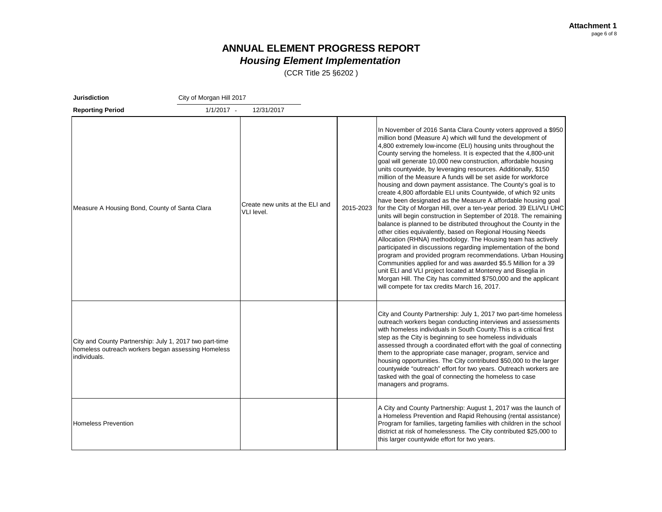(CCR Title 25 §6202 )

| <b>Jurisdiction</b>                                                                                                           | City of Morgan Hill 2017 |                                               |           |                                                                                                                                                                                                                                                                                                                                                                                                                                                                                                                                                                                                                                                                                                                                                                                                                                                                                                                                                                                                                                                                                                                                                                                                                                                                                                                                                                                                                    |
|-------------------------------------------------------------------------------------------------------------------------------|--------------------------|-----------------------------------------------|-----------|--------------------------------------------------------------------------------------------------------------------------------------------------------------------------------------------------------------------------------------------------------------------------------------------------------------------------------------------------------------------------------------------------------------------------------------------------------------------------------------------------------------------------------------------------------------------------------------------------------------------------------------------------------------------------------------------------------------------------------------------------------------------------------------------------------------------------------------------------------------------------------------------------------------------------------------------------------------------------------------------------------------------------------------------------------------------------------------------------------------------------------------------------------------------------------------------------------------------------------------------------------------------------------------------------------------------------------------------------------------------------------------------------------------------|
| <b>Reporting Period</b>                                                                                                       | $1/1/2017 -$             | 12/31/2017                                    |           |                                                                                                                                                                                                                                                                                                                                                                                                                                                                                                                                                                                                                                                                                                                                                                                                                                                                                                                                                                                                                                                                                                                                                                                                                                                                                                                                                                                                                    |
| Measure A Housing Bond, County of Santa Clara                                                                                 |                          | Create new units at the ELI and<br>VLI level. | 2015-2023 | In November of 2016 Santa Clara County voters approved a \$950<br>million bond (Measure A) which will fund the development of<br>4,800 extremely low-income (ELI) housing units throughout the<br>County serving the homeless. It is expected that the 4,800-unit<br>goal will generate 10,000 new construction, affordable housing<br>units countywide, by leveraging resources. Additionally, \$150<br>million of the Measure A funds will be set aside for workforce<br>housing and down payment assistance. The County's goal is to<br>create 4,800 affordable ELI units Countywide, of which 92 units<br>have been designated as the Measure A affordable housing goal<br>for the City of Morgan Hill, over a ten-year period. 39 ELI/VLI UHC<br>units will begin construction in September of 2018. The remaining<br>balance is planned to be distributed throughout the County in the<br>other cities equivalently, based on Regional Housing Needs<br>Allocation (RHNA) methodology. The Housing team has actively<br>participated in discussions regarding implementation of the bond<br>program and provided program recommendations. Urban Housing<br>Communities applied for and was awarded \$5.5 Million for a 39<br>unit ELI and VLI project located at Monterey and Biseglia in<br>Morgan Hill. The City has committed \$750,000 and the applicant<br>will compete for tax credits March 16, 2017. |
| City and County Partnership: July 1, 2017 two part-time<br>homeless outreach workers began assessing Homeless<br>individuals. |                          |                                               |           | City and County Partnership: July 1, 2017 two part-time homeless<br>outreach workers began conducting interviews and assessments<br>with homeless individuals in South County. This is a critical first<br>step as the City is beginning to see homeless individuals<br>assessed through a coordinated effort with the goal of connecting<br>them to the appropriate case manager, program, service and<br>housing opportunities. The City contributed \$50,000 to the larger<br>countywide "outreach" effort for two years. Outreach workers are<br>tasked with the goal of connecting the homeless to case<br>managers and programs.                                                                                                                                                                                                                                                                                                                                                                                                                                                                                                                                                                                                                                                                                                                                                                             |
| <b>Homeless Prevention</b>                                                                                                    |                          |                                               |           | A City and County Partnership: August 1, 2017 was the launch of<br>a Homeless Prevention and Rapid Rehousing (rental assistance)<br>Program for families, targeting families with children in the school<br>district at risk of homelessness. The City contributed \$25,000 to<br>this larger countywide effort for two years.                                                                                                                                                                                                                                                                                                                                                                                                                                                                                                                                                                                                                                                                                                                                                                                                                                                                                                                                                                                                                                                                                     |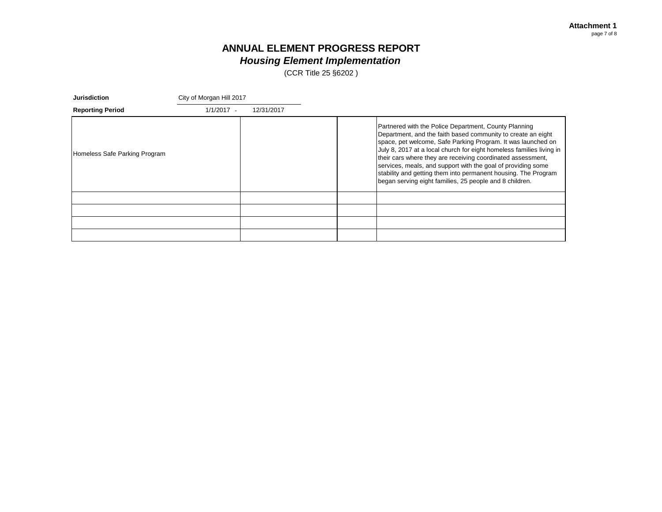(CCR Title 25 §6202 )

| <b>Jurisdiction</b>           | City of Morgan Hill 2017 |            |                                                                                                                                                                                                                                                                                                                                                                                                                                                                                                                           |
|-------------------------------|--------------------------|------------|---------------------------------------------------------------------------------------------------------------------------------------------------------------------------------------------------------------------------------------------------------------------------------------------------------------------------------------------------------------------------------------------------------------------------------------------------------------------------------------------------------------------------|
| <b>Reporting Period</b>       | $1/1/2017 -$             | 12/31/2017 |                                                                                                                                                                                                                                                                                                                                                                                                                                                                                                                           |
| Homeless Safe Parking Program |                          |            | Partnered with the Police Department, County Planning<br>Department, and the faith based community to create an eight<br>space, pet welcome, Safe Parking Program. It was launched on<br>July 8, 2017 at a local church for eight homeless families living in<br>their cars where they are receiving coordinated assessment,<br>services, meals, and support with the goal of providing some<br>stability and getting them into permanent housing. The Program<br>began serving eight families, 25 people and 8 children. |
|                               |                          |            |                                                                                                                                                                                                                                                                                                                                                                                                                                                                                                                           |
|                               |                          |            |                                                                                                                                                                                                                                                                                                                                                                                                                                                                                                                           |
|                               |                          |            |                                                                                                                                                                                                                                                                                                                                                                                                                                                                                                                           |
|                               |                          |            |                                                                                                                                                                                                                                                                                                                                                                                                                                                                                                                           |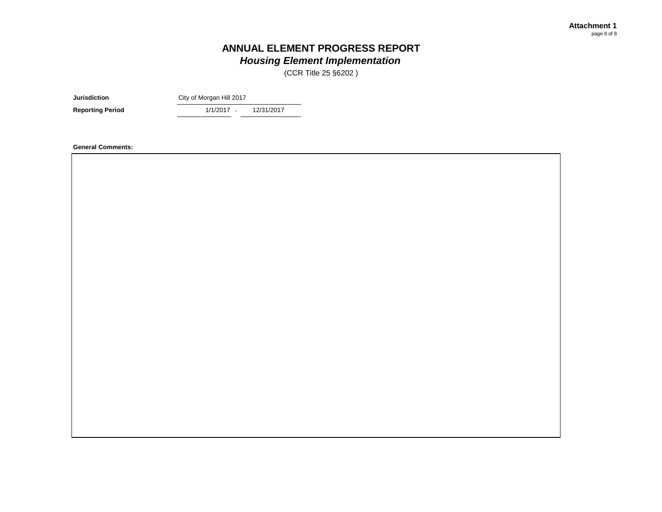(CCR Title 25 §6202 )

**Jurisdiction** City of Morgan Hill 2017

1/1/2017 -**Reporting Period** 1/1/2017 - 12/31/2017

**General Comments:**